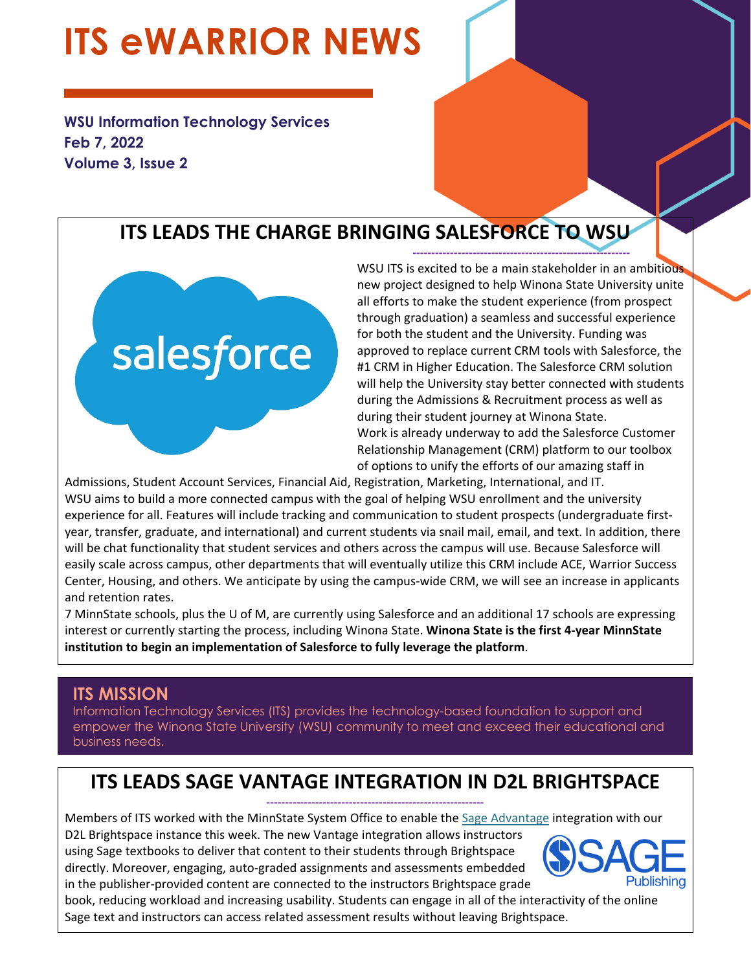# **ITS eWARRIOR NEWS**

**WSU Information Technology Services Feb 7, 2022 Volume 3, Issue 2** 

# **ITS LEADS THE CHARGE BRINGING SALESFORCE TO WSU**



WSU ITS is excited to be a main stakeholder in an ambitious new project designed to help Winona State University unite all efforts to make the student experience (from prospect through graduation) a seamless and successful experience for both the student and the University. Funding was approved to replace current CRM tools with Salesforce, the #1 CRM in Higher Education. The Salesforce CRM solution will help the University stay better connected with students during the Admissions & Recruitment process as well as during their student journey at Winona State. Work is already underway to add the Salesforce Customer Relationship Management (CRM) platform to our toolbox of options to unify the efforts of our amazing staff in

**‐‐‐‐‐‐‐‐‐‐‐‐‐‐‐‐‐‐‐‐‐‐‐‐‐‐‐‐‐‐‐‐‐‐‐‐‐‐‐‐‐‐‐‐‐‐‐‐‐‐‐‐‐‐‐‐‐‐** 

Admissions, Student Account Services, Financial Aid, Registration, Marketing, International, and IT. WSU aims to build a more connected campus with the goal of helping WSU enrollment and the university experience for all. Features will include tracking and communication to student prospects (undergraduate first‐ year, transfer, graduate, and international) and current students via snail mail, email, and text. In addition, there will be chat functionality that student services and others across the campus will use. Because Salesforce will easily scale across campus, other departments that will eventually utilize this CRM include ACE, Warrior Success Center, Housing, and others. We anticipate by using the campus‐wide CRM, we will see an increase in applicants and retention rates.

7 MinnState schools, plus the U of M, are currently using Salesforce and an additional 17 schools are expressing interest or currently starting the process, including Winona State. **Winona State is the first 4‐year MinnState institution to begin an implementation of Salesforce to fully leverage the platform**.

## **ITS MISSION**

Information Technology Services (ITS) provides the technology-based foundation to support and empower the Winona State University (WSU) community to meet and exceed their educational and business needs.

#### **ITS LEADS SAGE VANTAGE INTEGRATION IN D2L BRIGHTSPACE ‐‐‐‐‐‐‐‐‐‐‐‐‐‐‐‐‐‐‐‐‐‐‐‐‐‐‐‐‐‐‐‐‐‐‐‐‐‐‐‐‐‐‐‐‐‐‐‐‐‐‐‐‐‐‐‐‐‐**

Members of ITS worked with the MinnState System Office to enable the Sage Advantage integration with our

D2L Brightspace instance this week. The new Vantage integration allows instructors using Sage textbooks to deliver that content to their students through Brightspace directly. Moreover, engaging, auto‐graded assignments and assessments embedded in the publisher‐provided content are connected to the instructors Brightspace grade



book, reducing workload and increasing usability. Students can engage in all of the interactivity of the online Sage text and instructors can access related assessment results without leaving Brightspace.